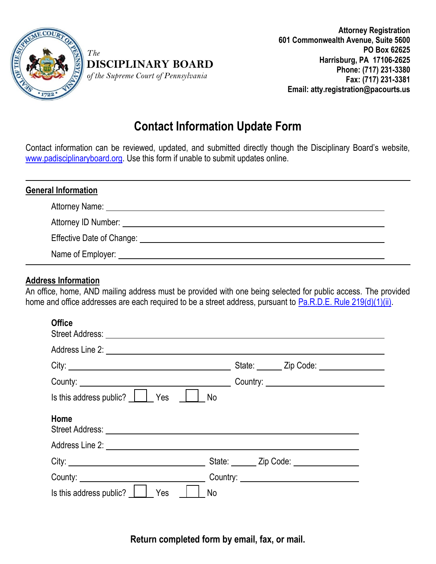

*The* 

**DISCIPLINARY BOARD** *of the Supreme Court of Pennsylvania* 

**Attorney Registration 601 Commonwealth Avenue, Suite 5600 PO Box 62625 Harrisburg, PA 17106-2625 Phone: (717) 231-3380 Fax: (717) 231-3381 Email: atty.registration@pacourts.us**

## **Contact Information Update Form**

Contact information can be reviewed, updated, and submitted directly though the Disciplinary Board's website, [www.padisciplinaryboard.org.](http://www.padisciplinaryboard.org/for-attorneys/update-my-information) Use this form if unable to submit updates online.

| <b>General Information</b> |                                                                                                                                                                                                                                |  |  |  |
|----------------------------|--------------------------------------------------------------------------------------------------------------------------------------------------------------------------------------------------------------------------------|--|--|--|
|                            |                                                                                                                                                                                                                                |  |  |  |
|                            |                                                                                                                                                                                                                                |  |  |  |
|                            | Effective Date of Change: The Change of Change and Change of Change and Change of Change and Change of Change and Change of Change and Change and Change and Change and Change and Change and Change and Change and Change and |  |  |  |
|                            | Name of Employer: Name of Employer:                                                                                                                                                                                            |  |  |  |

## **Address Information**

An office, home, AND mailing address must be provided with one being selected for public access. The provided home and office addresses are each required to be a street address, pursuant to [Pa.R.D.E. Rule 219\(d\)\(1\)\(ii\).](http://www.padisciplinaryboard.org/for-attorneys/rules/rule/5/the-pennsylvania-rules-of-disciplinary-enforcement#rule-35)

## **Office**

| Is this address public?     Yes     No                                                                                                                                                                                        |  |
|-------------------------------------------------------------------------------------------------------------------------------------------------------------------------------------------------------------------------------|--|
| Home                                                                                                                                                                                                                          |  |
|                                                                                                                                                                                                                               |  |
| City: City: City: City: City: City: City: City: City: City: City: City: City: City: City: City: City: City: City: City: City: City: City: City: City: City: City: City: City: City: City: City: City: City: City: City: City: |  |
|                                                                                                                                                                                                                               |  |
| Is this address public? $\Box$<br>Yes<br><b>No</b>                                                                                                                                                                            |  |

**Return completed form by email, fax, or mail.**